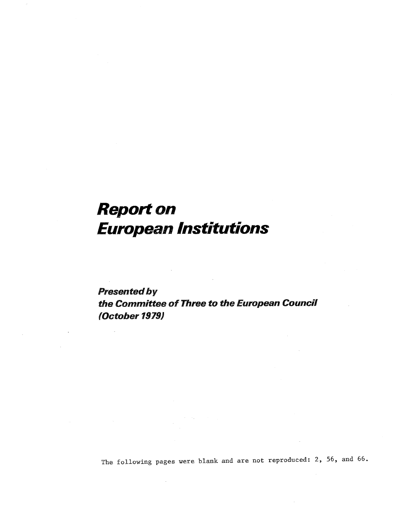# Report on European Institutions

Presented by the Committee of Three to the European Council (October 1979)

The following pages were blank and are not reproduced: 2, 56, and 66.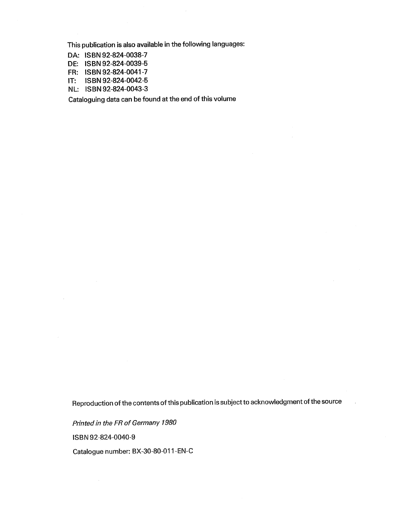This publication is also available in the following languages:

 $\bar{z}$ 

- DA: ISBN 92-824-0038-
- DE: ISBN 92-824-0039-
- FR: ISBN92~824-O041-
- IT: ISBN 92-824-0042-
- NL: ISBN 92-824-0043-

Cataloguing data can be found at the end of this volume

Reproduction of the contents of this publication is subject to acknowledgment of the source

Printed in the FR of Germany 1980 ISBN 92-824-0040-

Catalogue number: BX-30-80~011-EN-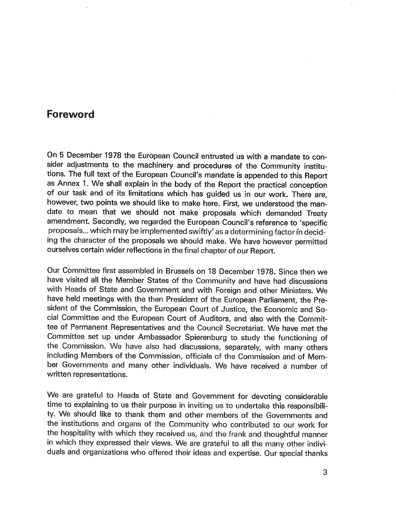## **Foreword**

On 5 December 1978 the European Council entrusted us with a mandate to consider adjustments to the machinery and procedures of the Community institu- tions. The full text of the European Council's mandate is appended to this Report as Annex 1. We shall explain in the body of the Report the practical conception of our task and of its limitations which has guided us in our work. There are however, two points we should like to make here. First, we understood the mandate to mean that we should not make proposals which demanded Treaty amendment. Secondly, we regarded the European Council's reference to 'specific proposals... which may be implemented swiftly' as a determining factor in deciding the character of the proposals we should make. We have however permitted ourselves certain wider reflections in the final chapter of our Report.

Our Committee first assembled in Brussels on 18 December 1978. Since then we have visited all the Member States of the Community and have had discussions with Heads of State and Government and with Foreign and other Ministers. We have held meetings with the then President of the European Parliament, the President of the Commission, the European Court of Justice, the Economic and Social Committee and the European Court of Auditors, and also with the Committee of Permanent Representatives and the Council Secretariat. We have met the Committee set up under Ambassador Spierenburg to study the functioning of the Commission. We have also had discussions, separately, with many others including Members of the Commission, officials of the Commission and of Member Governments and many other individuals. We have received a number of written representations.

We are grateful to Heads of State and Government for devoting considerable time to explaining to us their purpose in inviting us to undertake this responsibility. We should like to thank them and other members of the Governments and the institutions and organs of the Community who contributed to our work for the hospitality with which they received us, and the frank and thoughtful manner in which they expressed their views. We are grateful to all the many other individuals and organizations who offered their ideas and expertise. Our special thanks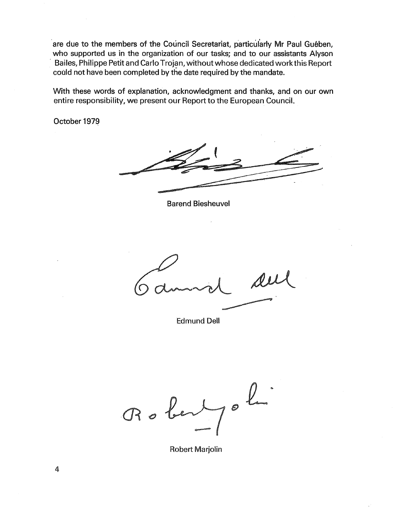are due to the members of the Council Secretariat, particularly Mr Paul Guében, who supported us in the organization of our tasks; and to our assistants Alyson Baires, Philippe Petit and Carlo Trojan, without whose dedicated work this Report could not have been completed by the date required by the mandate.

With these words of explanation, acknowledgment and thanks, and on our own entire responsibility, we present our Report to the European Council.

October 1979

Barend Biesheuvel

demand

Edmund Dell

Robert,  $\boldsymbol{\eta}$ 

Robert Marjolin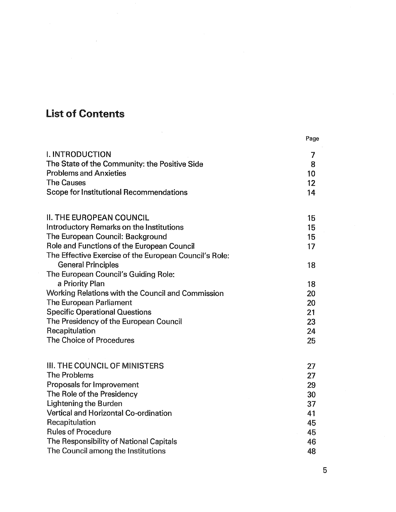## List of Contents

 $\sim$ 

|                                                        | Page |
|--------------------------------------------------------|------|
| <b>I. INTRODUCTION</b>                                 | 7    |
| The State of the Community: the Positive Side          | 8    |
| <b>Problems and Anxieties</b>                          | 10   |
| <b>The Causes</b>                                      | 12   |
| Scope for Institutional Recommendations                | 14   |
| <b>II. THE EUROPEAN COUNCIL</b>                        | 15   |
| Introductory Remarks on the Institutions               | 15   |
| The European Council: Background                       | 15   |
| Role and Functions of the European Council             | 17   |
| The Effective Exercise of the European Council's Role: |      |
| <b>General Principles</b>                              | 18   |
| The European Council's Guiding Role:                   |      |
| a Priority Plan                                        | 18   |
| Working Relations with the Council and Commission      | 20   |
| The European Parliament                                | 20   |
| <b>Specific Operational Questions</b>                  | 21   |
| The Presidency of the European Council                 | 23   |
| Recapitulation                                         | 24   |
| The Choice of Procedures                               | 25   |
| <b>III. THE COUNCIL OF MINISTERS</b>                   | 27   |
| The Problems                                           | 27   |
| Proposals for Improvement                              | 29   |
| The Role of the Presidency                             | 30   |
| Lightening the Burden                                  | 37   |
| Vertical and Horizontal Co-ordination                  | 41   |
| Recapitulation                                         | 45   |
| <b>Rules of Procedure</b>                              | 45   |
| The Responsibility of National Capitals                | 46   |
| The Council among the Institutions                     | 48   |

 $\mathcal{A}^{\mathcal{A}}$ 

 $\overline{5}$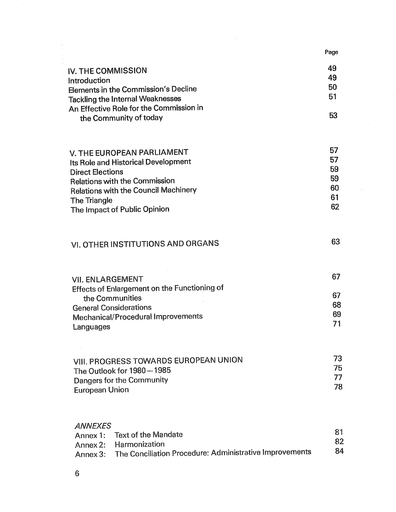|                                                                     | Page     |
|---------------------------------------------------------------------|----------|
| <b>IV. THE COMMISSION</b>                                           | 49       |
| Introduction                                                        | 49       |
| Elements in the Commission's Decline                                | 50       |
| <b>Tackling the Internal Weaknesses</b>                             | 51       |
| An Effective Role for the Commission in                             | 53       |
| the Community of today                                              |          |
| V. THE EUROPEAN PARLIAMENT                                          | 57       |
| Its Role and Historical Development                                 | 57       |
| <b>Direct Elections</b>                                             | 59       |
| <b>Relations with the Commission</b>                                | 59<br>60 |
| <b>Relations with the Council Machinery</b>                         | 61       |
| The Triangle<br>The Impact of Public Opinion                        | 62       |
|                                                                     |          |
| VI. OTHER INSTITUTIONS AND ORGANS                                   | 63       |
| <b>VII. ENLARGEMENT</b>                                             | 67       |
| Effects of Enlargement on the Functioning of                        |          |
| the Communities                                                     | 67       |
| <b>General Considerations</b>                                       | 68<br>69 |
| Mechanical/Procedural Improvements<br>Languages                     | 71       |
|                                                                     |          |
| VIII. PROGRESS TOWARDS EUROPEAN UNION                               | 73       |
| The Outlook for 1980-1985                                           | 75<br>77 |
| Dangers for the Community<br><b>European Union</b>                  | 78       |
|                                                                     |          |
| <b>ANNEXES</b><br><b>Text of the Mandate</b><br>Annex 1:            | 81       |
| Harmonization<br>Annex 2:                                           | 82       |
| The Conciliation Procedure: Administrative Improvements<br>Annex 3: | 84       |
|                                                                     |          |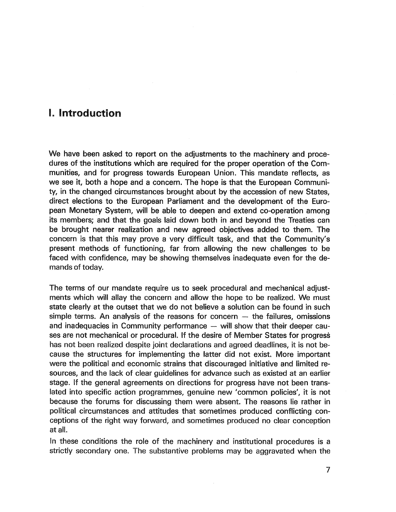## I. Introduction

We have been asked to report on the adjustments to the machinery and procedures of the institutions which are required for the proper operation of the Communities, and for progress towards European Union. This mandate reflects, as we see it, both a hope and a concern. The hope is that the European Community, in the changed circumstances brought about by the accession of new States, direct elections to the European Parliament and the development of the European Monetary System, will be able to deepen and extend co-operation among its members; and that the goals laid down both in and beyond the Treaties can be brought nearer realization and new agreed objectives added to them. The concern is that this may prove a very difficult task, and that the Community present methods of functioning, far from allowing the new challenges to be faced with confidence, may be showing themselves inadequate even for the demands of today.

The terms of our mandate require us to seek procedural and mechanical adjustments which will allay the concern and allow the hope to be realized. We must state clearly at the outset that we do not believe a solution can be found in such simple terms. An analysis of the reasons for concern  $-$  the failures, omissions and inadequacies in Community performance  $-$  will show that their deeper causes are not mechanical or procedural. If the desire of Member States for progress has not been realized despite joint declarations and agreed deadlines, it is not because the structures for implementing the latter did not exist. More important were the political and economic strains that discouraged initiative and limited resources, and the lack of clear guidelines for advance such as existed at an earlier stage. If the general agreements on directions for progress have not been translated into specific action programmes, genuine new 'common policies', it is not because the forums for discussing them were absent. The reasons lie rather in political circumstances and attitudes that sometimes produced conflicting conceptions of the right way forward, and sometimes produced no clear conception at all.

In these conditions the role of the machinery and institutional procedures is a strictly secondary one. The substantive problems may be aggravated when the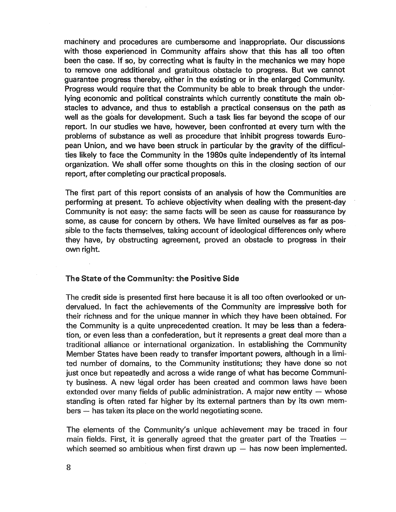machinery and procedures are cumbersome and inappropriate. Our discussions with those experienced in Community affairs show that this has all too often been the case. If so, by correcting what is faulty in the mechanics we may hope to remove one additional and gratuitous obstacle to progress. But we cannot guarantee progress thereby, either in the existing or in the enlarged Community. Progress would require that the Community be able to break through the underlying economic and political constraints which currently constitute the main obstacles to advance, and thus to establish a practical consensus on the path as well as the goals for development. Such a task lies far beyond the scope of our report. In our studies we have, however, been confronted at every turn with the problems of substance as well as procedure that inhibit progress towards European Union, and we have been struck in particular by the gravity of the difficulties likely to face the Community in the 1980s quite independently of its internal organization. We shall offer some thoughts on this in the closing section of our report, after completing our practical proposals.

The first part of this report consists of an analysis of how the Communities are performing at present. To achieve objectivity when dealing with the present-day Community is not easy: the same facts will be seen as cause for reassurance by some, as cause for concern by others. We have limited ourselves as far as possible to the facts themselves, taking account of ideological differences only where they have, by obstructing agreement, proved an obstacle to progress in their own right.

#### The State of the Community: the Positive Side

The credit side is presented first here because it is all too often overlooked or undervalued. In fact the achievements of the Community are impressive both for their richness and for the unique manner in which they have been obtained. For the Community is a quite unprecedented creation. It may be less than a federation, or even less than a confederation, but it represents a great deal more than a traditional alliance or international organization. In establishing the Community Member States have been ready to transfer important powers, although in a limited number of domains, to the Community institutions; they have done so not just once but repeatedly and across a wide range of what has become Community business. A new legal order has been created and common laws have been extended over many fields of public administration. A major new entity  $-$  whose standing is often rated far higher by its external partners than by its own mem~ bers - has taken its place on the world negotiating scene.

The elements of the Community's unique achievement may be traced in four main fields. First, it is generally agreed that the greater part of the Treaties  $$ which seemed so ambitious when first drawn up  $-$  has now been implemented.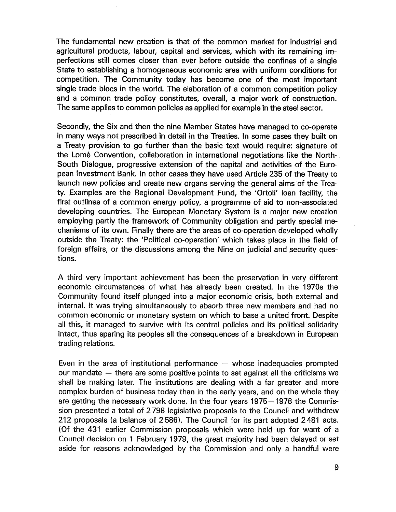The fundamental new creation is that of the common market for industrial and agricultural products, labour, capital and services, which with its remaining imperfections still comes closer than ever before outside the confines of a single State to establishing a homogeneous economic area with uniform conditions for competition. The Community today has become one of the most important single trade blocs in the world. The elaboration of a common competition policy and a common trade policy constitutes, overall, a major work of construction. The same applies to common policies as applied for example in the steel sector.

Secondly, the Six and then the nine Member States have managed to co-operate in many ways not prescribed in detail in the Treaties. In some cases they built on a Treaty provision to go further than the basic text would require: signature of the Lome Convention, collaboration in international negotiations like the North-South Dialogue, progressive extension of the capital and activities of the European Investment Bank. In other cases they have used Article 235 of the Treaty to launch new policies and create new organs serving the general aims of the Treaty. Examples are the Regional Development Fund, the 'Ortoli' loan facility, the first outlines of a common energy policy, a programme of aid to non-associated developing countries. The European Monetary System is a major new creation employing partly the framework of Community obligation and partly special mechanisms of its own. Finally there are the areas of co-operation developed wholly outside the Treaty: the 'Political co-operation' which takes place in the field of foreign affairs, or the discussions among the Nine on judicial and security questions.

A third very important achievement has been the preservation in very different economic circumstances of what has already been created. In the 1970s the Community found itself plunged into a major economic crisis, both external and internal. It was trying simultaneously to absorb three new members and had no common economic or monetary system on which to base a united front. Despite all this, it managed to survive with its central policies and its political solidarity intact, thus sparing its peoples all the consequences of a breakdown in European trading relations.

Even in the area of institutional performance  $-$  whose inadequacies prompted our mandate  $-$  there are some positive points to set against all the criticisms we shall be making later. The institutions are dealing with a far greater and more complex burden of business today than in the early years, and on the whole they are getting the necessary work done. In the four years 1975 - 1978 the Commission presented a total of 2798 legislative proposals to the Council and withdrew 212 proposals (a balance of 2586). The Council for its part adopted 2481 acts. (Of the 431 earlier Commission proposals which were held up for want of a Council decision on 1 February 1979, the great majority had been delayed or set aside for reasons acknowledged by the Commission and only a handful were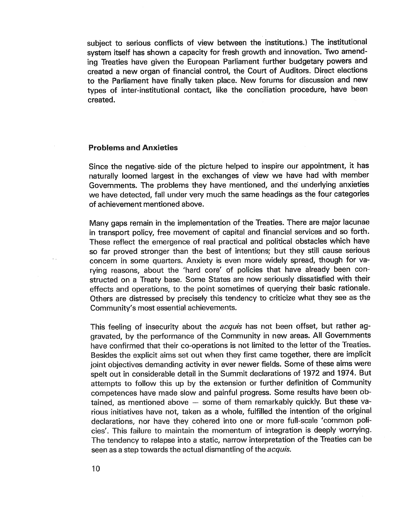subject to serious conflicts of view between the institutions.) The institutional system itself has shown a capacity for fresh growth and innovation. Two amending Treaties have given the European Parliament further budgetary powers and created a new organ of financial control, the Court of Auditors. Direct elections to the Parliament have finally taken place. New forums for discussion and new types of inter-institutional contact, like the conciliation procedure, have been created.

#### Problems and Anxieties

Since the negative- side of the picture helped to inspire our appointment, it has naturally loomed largest in the exchanges of view we have had with member Governments. The problems they have mentioned, and the- underlying anxieties we have detected, fall under very much the same headings as the four categories of achievement mentioned above.

Many gaps remain in the implementation of the Treaties. There are major lacunae in transport policy, free movement of capital and financial services and so forth. These reflect the emergence of real practical and political obstacles which have so far proved stronger than the best of intentions; but they still cause serious concern in some quarters. Anxiety is even more widely spread, though for varying reasons, about the 'hard core' of policies that have already been constructed on a Treaty base. Some States are now seriously dissatisfied with their effects and operations, to the point sometimes of querying their basic rationale. Others are distressed by precisely this tendency to criticize what they see as the Community's most essential achievements.

This feeling of insecurity about the *acquis* has not been offset, but rather aggravated, by the performance of the Community in new areas. All Governments have confirmed that their co-operations is not limited to the letter of the Treaties. Besides the explicit aims set out when they first came together, there are implicit joint objectives demanding activity in ever newer fields. Some of these aims were spelt out in considerable detail in the Summit declarations of 1972 and 1974. But attempts to follow this up by the extension or further definition of Community competences have made slow and painful progress. Some results have been obtained, as mentioned above - some of them remarkably quickly. But these various initiatives have not, taken as a whole, fulfilled the intention of the original declarations, nor have they cohered into one or more full-scale 'common policies'. This failure to maintain the momentum of integration is deeply worrying. The tendency to relapse into a static, narrow interpretation of the Treaties can be seen as a step towards the actual dismantling of the *acquis*.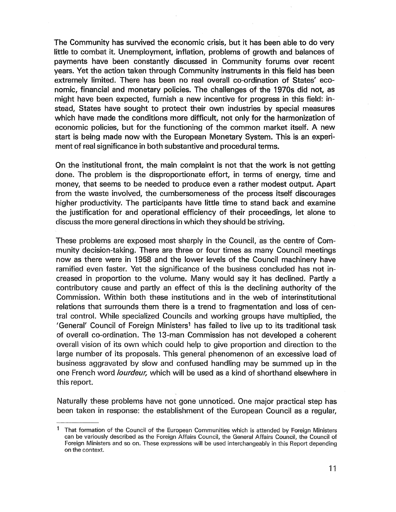The Community has survived the economic crisis, but it has been able to do very little to combat it. Unemployment, inflation, problems of growth and balances of payments have been constantly discussed in Community forums over recent years. Yet the action taken through Community instruments in this field has been extremely limited. There has been no real overall co-ordination of States' economic, financial and monetary policies. The challenges of the 1970s did not, as might have been expected, furnish a new incentive for progress in this field: instead, States have sought to protect their own industries by special measures which have made the conditions more difficult, not only for the harmonization of economic policies, but for the functioning of the common market itself. A new start is being made now with the European Monetary System. This is an experiment of real significance in both substantive and procedural terms.

On the institutional front, the main complaint is not that the work is not getting done. The problem is the disproportionate effort, in terms of energy, time and money, that seems to be needed to produce even a rather modest output. Apart from the waste involved, the cumbersomeness of the process itself discourages higher productivity. The participants have little time to stand back and examine the justification for and operational efficiency of their proceedings, let alone to discuss the more general directions in which they should be striving.

These problems are exposed most sharply in the Council, as the centre of Community decision-taking. There are three or four times as many Council meetings now as there were in 1958 and the lower levels of the Council machinery have ramified even faster. Yet the significance of the business concluded has not increased in proportion to the volume. Many would say it has declined. Partly a contributory cause and partly an effect of this is the declining authority of the Commission. Within both these institutions and in the web of interinstitutional relations that surrounds them there is a trend to fragmentation and loss of central control. While specialized Councils and working groups have multiplied, the General' Council of Foreign Ministers1 has failed to live up to its traditional task of overall co-ordination. The 13-man Commission has not developed a coherent overall vision of its own which could help to give proportion and direction to the large number of its proposals. This general phenomenon of an excessive load of business aggravated by slow and confused handling may be summed up in the one French word lourdeur, which will be used as a kind of shorthand elsewhere in this report.

Naturally these problems have not gone unnoticed. One major practical step has been taken in response: the establishment of the European Council as a regular

 $<sup>1</sup>$  That formation of the Council of the European Communities which is attended by Foreign Ministers</sup> can be variously described as the Foreign Affairs Council, the General Affairs Council, the Council of Foreign Ministers and so on. These expressions will be used interchangeably in this Report depending on the context.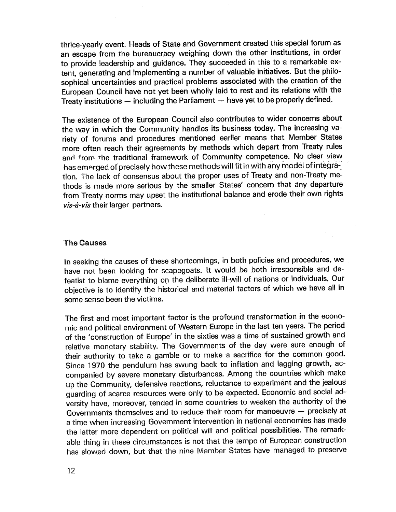thrice-yearly event. Heads of State and Government created this special forum as an escape from the bureaucracy weighing down the other institutions, in order to provide leadership and guidance. They succeeded in this to a remarkable extent, generating and implementing a number of valuable initiatives. But the philosophical uncertainties and practical problems associated with the creation of the European Council have not yet been wholly laid to rest and its relations with the Treaty institutions  $-$  including the Parliament  $-$  have yet to be properly defined.

The existence of the European Council also contributes to wider concerns about the way in which the Community handles its business today. The increasing variety of forums and procedures mentioned earlier means that Member States more often reach their agreements by methods which depart from Treaty rules and from the traditional framework of Community competence. No clear view has emerged of precisely how these methods will fit in with any model of integration. The lack of consensus about the proper uses of Treaty and non-Treaty methods is made more serious by the smaller States' concern that any departure from Treaty norms may upset the institutional balance and erode their own rights vis-à-vis their larger partners.

### The Causes

In seeking the causes of these shortcomings, in both policies and procedures, we have not been looking for scapegoats. It would be both irresponsible and defeatist to blame everything on the deliberate ill-will of nations or individuals. Our objective is to identify the historical and material factors of which we have all in some sense been the victims.

The first and most important factor is the profound transformation in the economic and political environment of Western Europe in the last ten years. The period of the 'construction of Europe' in the sixties was a time of sustained growth and relative monetary stability. The Governments of the day were sure enough of their authority to take a gamble or to make a sacrifice for the common good. Since 1970 the pendulum has swung back to inflation and lagging growth, accompanied by severe monetary disturbances. Among the countries which make up the Community, defensive reactions, reluctance to experiment and the jealous guarding of scarce resources were only to be expected. Economic and social adversity have, moreover, tended in some countries to weaken the authority of the Governments themselves and to reduce their room for manoeuvre  $-$  precisely at a time when increasing Government intervention in national economies has made the latter more dependent on political will and political possibilities. The remarkable thing in these circumstances is not that the tempo of European construction has slowed down, but that the nine Member States have managed to preserve